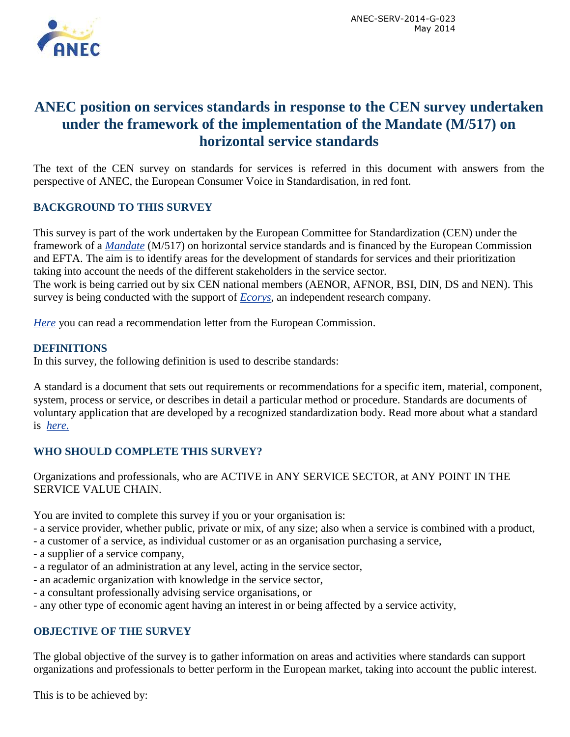

# **ANEC position on services standards in response to the CEN survey undertaken under the framework of the implementation of the Mandate (M/517) on horizontal service standards**

The text of the CEN survey on standards for services is referred in this document with answers from the perspective of ANEC, the European Consumer Voice in Standardisation, in red font.

## **BACKGROUND TO THIS SURVEY**

This survey is part of the work undertaken by the European Committee for Standardization (CEN) under the framework of a *[Mandate](ftp://ftp.cencenelec.eu/CEN/WhatWeDo/Fields/Services/M517.pdf)* (M/517) on horizontal service standards and is financed by the European Commission and EFTA. The aim is to identify areas for the development of standards for services and their prioritization taking into account the needs of the different stakeholders in the service sector. The work is being carried out by six CEN national members (AENOR, AFNOR, BSI, DIN, DS and NEN). This survey is being conducted with the support of *[Ecorys](http://uk.ecorys.com/)*, an independent research company.

*[Here](http://uk.ecorys.com/business-support/signed_letter.pdf)* you can read a recommendation letter from the European Commission.

#### **DEFINITIONS**

In this survey, the following definition is used to describe standards:

A standard is a document that sets out requirements or recommendations for a specific item, material, component, system, process or service, or describes in detail a particular method or procedure. Standards are documents of voluntary application that are developed by a recognized standardization body. Read more about what a standard is *[here.](http://www.cencenelec.eu/standards/DefEN/Pages/default.aspx)*

#### **WHO SHOULD COMPLETE THIS SURVEY?**

Organizations and professionals, who are ACTIVE in ANY SERVICE SECTOR, at ANY POINT IN THE SERVICE VALUE CHAIN.

You are invited to complete this survey if you or your organisation is:

- a service provider, whether public, private or mix, of any size; also when a service is combined with a product,
- a customer of a service, as individual customer or as an organisation purchasing a service,
- a supplier of a service company,
- a regulator of an administration at any level, acting in the service sector,
- an academic organization with knowledge in the service sector,
- a consultant professionally advising service organisations, or
- any other type of economic agent having an interest in or being affected by a service activity,

#### **OBJECTIVE OF THE SURVEY**

The global objective of the survey is to gather information on areas and activities where standards can support organizations and professionals to better perform in the European market, taking into account the public interest.

This is to be achieved by: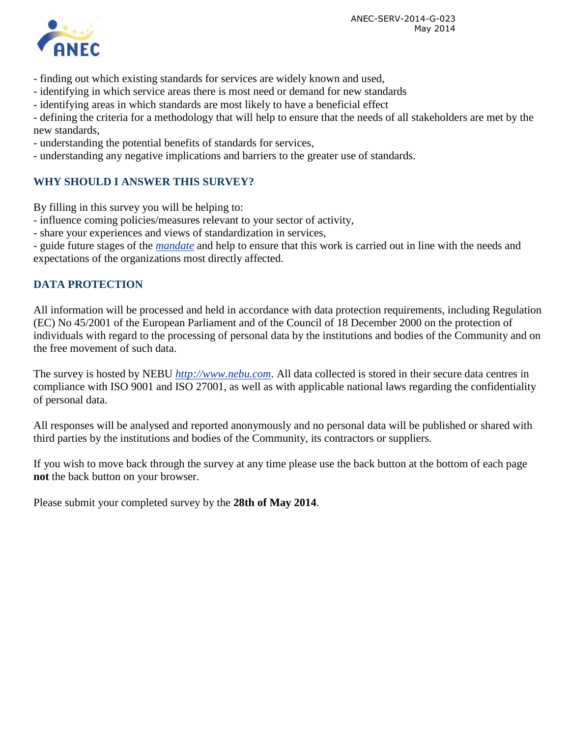ANEC-SERV-2014-G-023 May 2014



- finding out which existing standards for services are widely known and used,
- identifying in which service areas there is most need or demand for new standards
- identifying areas in which standards are most likely to have a beneficial effect

- defining the criteria for a methodology that will help to ensure that the needs of all stakeholders are met by the new standards,

- understanding the potential benefits of standards for services,
- understanding any negative implications and barriers to the greater use of standards.

## **WHY SHOULD I ANSWER THIS SURVEY?**

By filling in this survey you will be helping to:

- influence coming policies/measures relevant to your sector of activity,
- share your experiences and views of standardization in services,

- guide future stages of the *[mandate](ftp://ftp.cencenelec.eu/CEN/WhatWeDo/Fields/Services/M517.pdf)* and help to ensure that this work is carried out in line with the needs and expectations of the organizations most directly affected.

#### **DATA PROTECTION**

All information will be processed and held in accordance with data protection requirements, including Regulation (EC) No 45/2001 of the European Parliament and of the Council of 18 December 2000 on the protection of individuals with regard to the processing of personal data by the institutions and bodies of the Community and on the free movement of such data.

The survey is hosted by NEBU *[http://www.nebu.com](http://www.nebu.com/)*. All data collected is stored in their secure data centres in compliance with ISO 9001 and ISO 27001, as well as with applicable national laws regarding the confidentiality of personal data.

All responses will be analysed and reported anonymously and no personal data will be published or shared with third parties by the institutions and bodies of the Community, its contractors or suppliers.

If you wish to move back through the survey at any time please use the back button at the bottom of each page **not** the back button on your browser.

Please submit your completed survey by the **28th of May 2014**.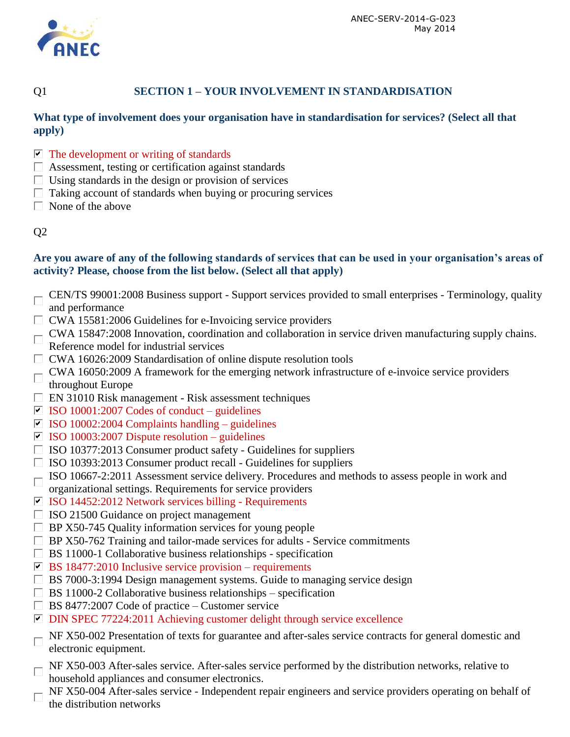

## Q1 **SECTION 1 – YOUR INVOLVEMENT IN STANDARDISATION**

#### **What type of involvement does your organisation have in standardisation for services? (Select all that apply)**

- $\triangleright$  The development or writing of standards
- Assessment, testing or certification against standards
- $\Box$  Using standards in the design or provision of services
- $\Box$  Taking account of standards when buying or procuring services
- $\Box$  None of the above

## Q2

#### **Are you aware of any of the following standards of services that can be used in your organisation's areas of activity? Please, choose from the list below. (Select all that apply)**

- CEN/TS 99001:2008 Business support Support services provided to small enterprises Terminology, quality and performance
- $\Box$  CWA 15581:2006 Guidelines for e-Invoicing service providers
- CWA 15847:2008 Innovation, coordination and collaboration in service driven manufacturing supply chains. Reference model for industrial services
- $\Box$  CWA 16026:2009 Standardisation of online dispute resolution tools
- $\Box$  CWA 16050:2009 A framework for the emerging network infrastructure of e-invoice service providers throughout Europe
- $\Box$  EN 31010 Risk management Risk assessment techniques
- $\Box$  ISO 10001:2007 Codes of conduct guidelines
- $\Box$  ISO 10002:2004 Complaints handling guidelines
- $\overline{1}$  ISO 10003:2007 Dispute resolution guidelines
- $\Box$  ISO 10377:2013 Consumer product safety Guidelines for suppliers
- $\Box$  ISO 10393:2013 Consumer product recall Guidelines for suppliers
- $\Box$  ISO 10667-2:2011 Assessment service delivery. Procedures and methods to assess people in work and
- organizational settings. Requirements for service providers
- $\blacksquare$  ISO 14452:2012 Network services billing Requirements
- $\Box$  ISO 21500 Guidance on project management
- $\Box$  BP X50-745 Quality information services for young people
- $\Box$  BP X50-762 Training and tailor-made services for adults Service commitments
- $\Box$  BS 11000-1 Collaborative business relationships specification
- $\triangleright$  BS 18477:2010 Inclusive service provision requirements
- $\Box$  BS 7000-3:1994 Design management systems. Guide to managing service design
- $\Box$  BS 11000-2 Collaborative business relationships specification
- $\Box$  BS 8477:2007 Code of practice Customer service
- □ DIN SPEC 77224:2011 Achieving customer delight through service excellence
- $\Box$  NF X50-002 Presentation of texts for guarantee and after-sales service contracts for general domestic and electronic equipment.
- $\Box$  NF X50-003 After-sales service. After-sales service performed by the distribution networks, relative to household appliances and consumer electronics.
- NF X50-004 After-sales service Independent repair engineers and service providers operating on behalf of  $\Box$ the distribution networks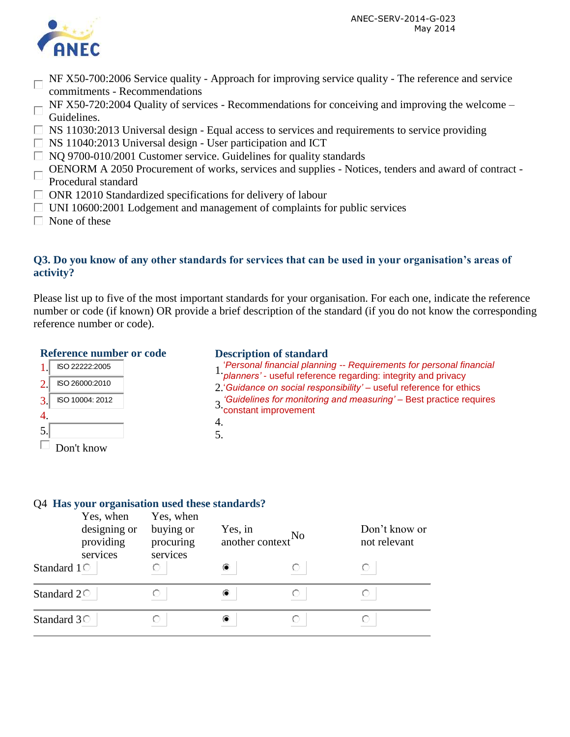

- NF X50-700:2006 Service quality Approach for improving service quality The reference and service commitments - Recommendations
- $\Box$  NF X50-720:2004 Quality of services Recommendations for conceiving and improving the welcome Guidelines.
- $\Box$  NS 11030:2013 Universal design Equal access to services and requirements to service providing
- $\Box$  NS 11040:2013 Universal design User participation and ICT
- $\Box$  NQ 9700-010/2001 Customer service. Guidelines for quality standards
- OENORM A 2050 Procurement of works, services and supplies Notices, tenders and award of contract -
- Procedural standard
- $\Box$  ONR 12010 Standardized specifications for delivery of labour
- $\Box$  UNI 10600:2001 Lodgement and management of complaints for public services
- $\Box$  None of these

1.

2.

3.

4. 5.

П

## **Q3. Do you know of any other standards for services that can be used in your organisation's areas of activity?**

Please list up to five of the most important standards for your organisation. For each one, indicate the reference number or code (if known) OR provide a brief description of the standard (if you do not know the corresponding reference number or code).

#### **Reference number or code**

ISO 22222:2005

ISO 26000:2010

ISO 10004: 2012

Don't know

#### **Description of standard**

- 1.'*Personal financial planning -- Requirements for personal financial planners'* useful reference regarding: integrity and privacy
- 
- 2.'*Guidance on social responsibility'*  useful reference for ethics
- 3. Guidelines for monitoring and measuring' Best practice requires 3.<br>Constant improvement
- 4.
- 5.

#### Q4 **Has your organisation used these standards?**   $V_{\alpha\alpha}$  when Yes, when

|                     | res, when<br>designing or<br>providing<br>services | res, when<br>buying or<br>procuring<br>services | Yes, in<br>another context No |  | Don't know or<br>not relevant |
|---------------------|----------------------------------------------------|-------------------------------------------------|-------------------------------|--|-------------------------------|
| Standard $1^\circ$  |                                                    |                                                 |                               |  | O                             |
| Standard $2\degree$ |                                                    |                                                 |                               |  |                               |
| Standard $3^\circ$  |                                                    |                                                 |                               |  |                               |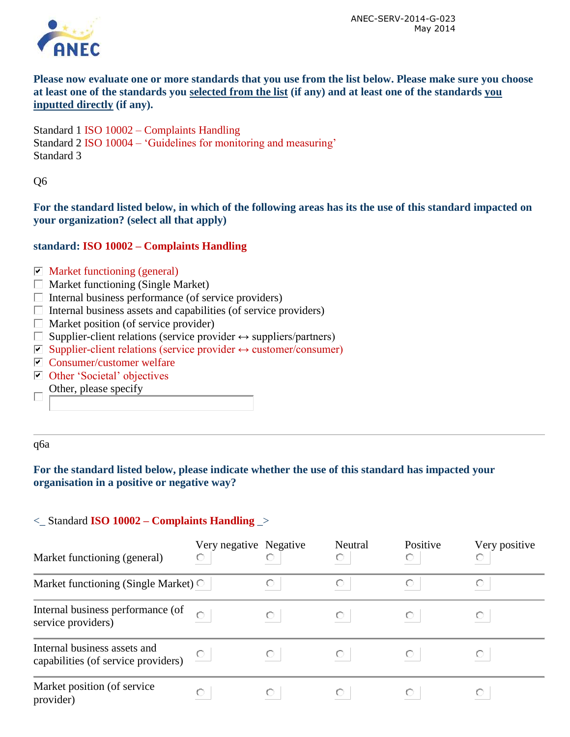

**Please now evaluate one or more standards that you use from the list below. Please make sure you choose at least one of the standards you selected from the list (if any) and at least one of the standards you inputted directly (if any).**

Standard 1 ISO 10002 – Complaints Handling Standard 2 ISO 10004 – 'Guidelines for monitoring and measuring' Standard 3

Q6

**For the standard listed below, in which of the following areas has its the use of this standard impacted on your organization? (select all that apply)**

#### **standard: ISO 10002 – Complaints Handling**

#### $\nabla$  Market functioning (general)

- $\Box$  Market functioning (Single Market)
- $\Box$  Internal business performance (of service providers)
- $\Box$  Internal business assets and capabilities (of service providers)
- $\Box$  Market position (of service provider)
- $\Box$  Supplier-client relations (service provider  $\leftrightarrow$  suppliers/partners)
- $\triangleright$  Supplier-client relations (service provider  $\leftrightarrow$  customer/consumer)
- $\triangleright$  Consumer/customer welfare
- Other 'Societal' objectives
- Other, please specify  $\Box$

q6a

## **For the standard listed below, please indicate whether the use of this standard has impacted your organisation in a positive or negative way?**

#### <\_ Standard **ISO 10002 – Complaints Handling** \_>

| Market functioning (general)                                        | Very negative Negative<br>O |   | Neutral | Positive | Very positive |
|---------------------------------------------------------------------|-----------------------------|---|---------|----------|---------------|
| Market functioning (Single Market) $\circ$                          |                             |   |         |          |               |
| Internal business performance (of<br>service providers)             |                             |   |         |          |               |
| Internal business assets and<br>capabilities (of service providers) |                             | O |         |          |               |
| Market position (of service)<br>provider)                           | O                           |   |         |          |               |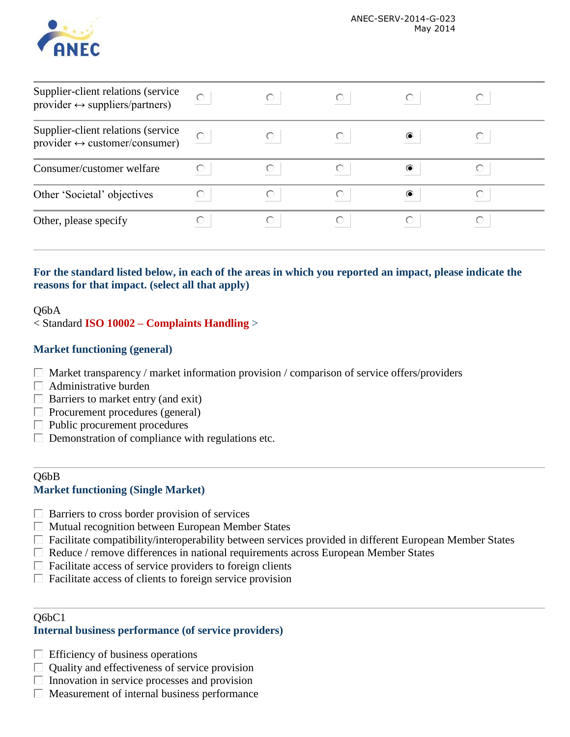

| Supplier-client relations (service<br>provider $\leftrightarrow$ suppliers/partners) |   |  |  |
|--------------------------------------------------------------------------------------|---|--|--|
| Supplier-client relations (service<br>provider $\leftrightarrow$ customer/consumer)  |   |  |  |
| Consumer/customer welfare                                                            |   |  |  |
| Other 'Societal' objectives                                                          | O |  |  |
| Other, please specify                                                                |   |  |  |

## **For the standard listed below, in each of the areas in which you reported an impact, please indicate the reasons for that impact. (select all that apply)**

#### Q6bA

< Standard **ISO 10002 – Complaints Handling** >

#### **Market functioning (general)**

- $\Box$  Market transparency / market information provision / comparison of service offers/providers
- $\Box$  Administrative burden
- $\Box$  Barriers to market entry (and exit)
- $\Box$  Procurement procedures (general)
- $\Box$  Public procurement procedures
- $\Box$  Demonstration of compliance with regulations etc.

#### Q6bB **Market functioning (Single Market)**

- $\Box$  Barriers to cross border provision of services
- $\Box$  Mutual recognition between European Member States
- Facilitate compatibility/interoperability between services provided in different European Member States
- $\Box$  Reduce / remove differences in national requirements across European Member States
- $\Box$  Facilitate access of service providers to foreign clients
- $\Box$  Facilitate access of clients to foreign service provision

#### Q6bC1

#### **Internal business performance (of service providers)**

- $\Box$  Efficiency of business operations
- $\Box$  Quality and effectiveness of service provision
- $\Box$  Innovation in service processes and provision
- $\Box$  Measurement of internal business performance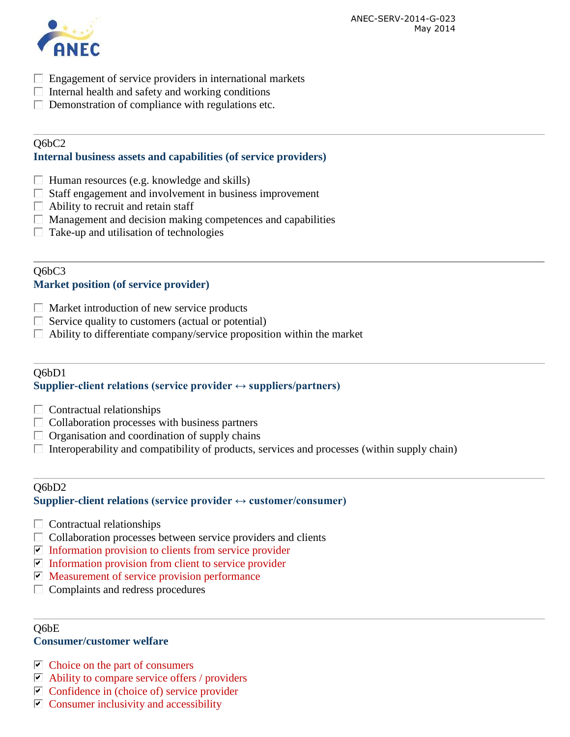

- $\Box$  Engagement of service providers in international markets
- $\Box$  Internal health and safety and working conditions
- $\Box$  Demonstration of compliance with regulations etc.

## Q6bC2

#### **Internal business assets and capabilities (of service providers)**

- $\Box$  Human resources (e.g. knowledge and skills)
- $\Box$  Staff engagement and involvement in business improvement
- $\Box$  Ability to recruit and retain staff
- $\Box$  Management and decision making competences and capabilities
- $\Box$  Take-up and utilisation of technologies

## Q6bC3 **Market position (of service provider)**

- $\Box$  Market introduction of new service products
- $\Box$  Service quality to customers (actual or potential)
- $\Box$  Ability to differentiate company/service proposition within the market

#### Q6bD1 **Supplier-client relations (service provider**  $\leftrightarrow$  **suppliers/partners)**

- $\Box$  Contractual relationships
- $\Box$  Collaboration processes with business partners
- $\Box$  Organisation and coordination of supply chains
- $\Box$  Interoperability and compatibility of products, services and processes (within supply chain)

#### $O6bD2$ **Supplier-client relations (service provider ↔ customer/consumer)**

- $\Box$  Contractual relationships
- $\Box$  Collaboration processes between service providers and clients
- $\blacksquare$  Information provision to clients from service provider
- Information provision from client to service provider
- $\triangleright$  Measurement of service provision performance
- $\Box$  Complaints and redress procedures

#### Q6bE

#### **Consumer/customer welfare**

- $\triangleright$  Choice on the part of consumers
- $\triangleright$  Ability to compare service offers / providers
- $\triangleright$  Confidence in (choice of) service provider
- $\triangledown$  Consumer inclusivity and accessibility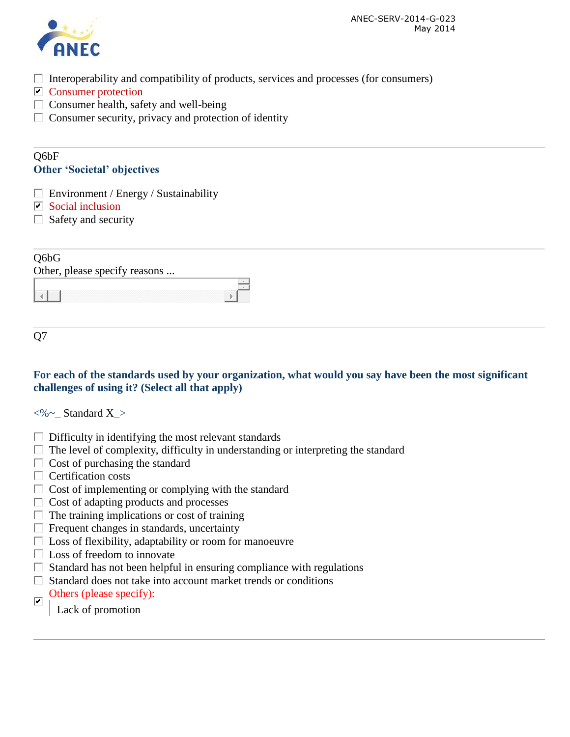

- $\Box$  Interoperability and compatibility of products, services and processes (for consumers)
- **Consumer protection**
- $\Box$  Consumer health, safety and well-being
- $\Box$  Consumer security, privacy and protection of identity

#### Q6bF **Other 'Societal' objectives**

- $\Box$  Environment / Energy / Sustainability
- $\nabla$  Social inclusion
- $\Box$  Safety and security

## Q6bG

| Other, please specify reasons |  |
|-------------------------------|--|
|                               |  |
|                               |  |

Q7

## **For each of the standards used by your organization, what would you say have been the most significant challenges of using it? (Select all that apply)**

 $\langle\% \sim \text{Standard X}\rangle$ 

- $\Box$  Difficulty in identifying the most relevant standards
- $\Box$  The level of complexity, difficulty in understanding or interpreting the standard
- $\Box$  Cost of purchasing the standard
- $\Box$  Certification costs
- $\Box$  Cost of implementing or complying with the standard
- $\Box$  Cost of adapting products and processes
- $\Box$  The training implications or cost of training
- $\Box$  Frequent changes in standards, uncertainty
- $\Box$  Loss of flexibility, adaptability or room for manoeuvre
- $\Box$  Loss of freedom to innovate
- $\Box$  Standard has not been helpful in ensuring compliance with regulations
- $\Box$  Standard does not take into account market trends or conditions
- Others (please specify):  $\overline{\triangledown}$

Lack of promotion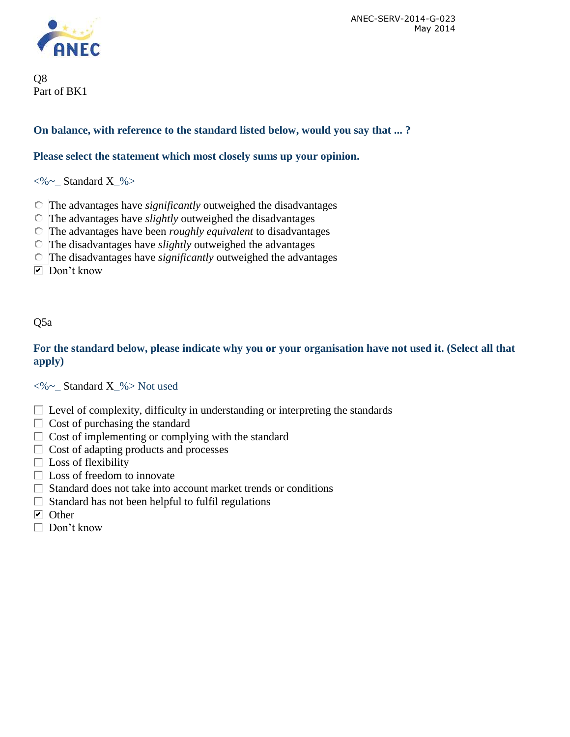

Q8 Part of BK1

## **On balance, with reference to the standard listed below, would you say that ... ?**

#### **Please select the statement which most closely sums up your opinion.**

 $\langle\% \sim \text{Standard X }\% \rangle$ 

- The advantages have *significantly* outweighed the disadvantages
- The advantages have *slightly* outweighed the disadvantages
- The advantages have been *roughly equivalent* to disadvantages
- The disadvantages have *slightly* outweighed the advantages
- The disadvantages have *significantly* outweighed the advantages
- $\nabla$  Don't know

## Q5a

## **For the standard below, please indicate why you or your organisation have not used it. (Select all that apply)**

<%~\_ Standard X\_%> Not used

- $\Box$  Level of complexity, difficulty in understanding or interpreting the standards
- $\Box$  Cost of purchasing the standard
- $\Box$  Cost of implementing or complying with the standard
- $\Box$  Cost of adapting products and processes
- $\Box$  Loss of flexibility
- $\Box$  Loss of freedom to innovate
- $\Box$  Standard does not take into account market trends or conditions
- $\Box$  Standard has not been helpful to fulfil regulations
- $\overline{\triangleright}$  Other
- $\Box$  Don't know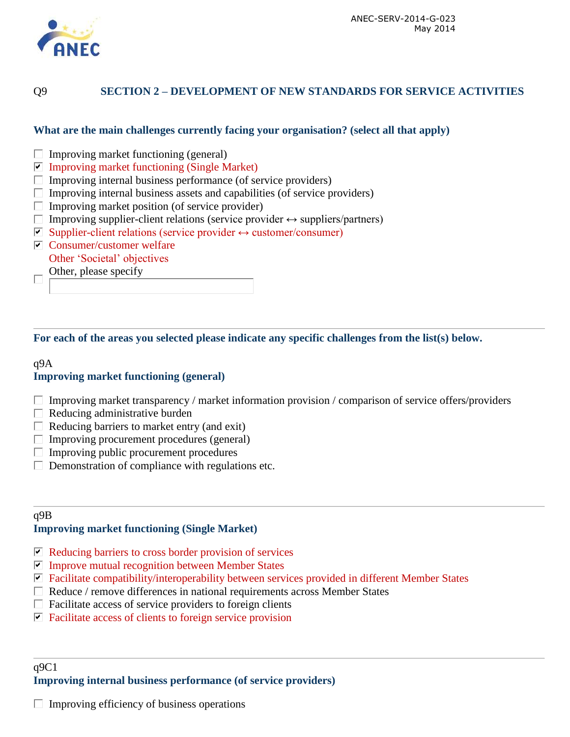

## Q9 **SECTION 2 – DEVELOPMENT OF NEW STANDARDS FOR SERVICE ACTIVITIES**

#### **What are the main challenges currently facing your organisation? (select all that apply)**

- $\Box$  Improving market functioning (general)
- $\blacksquare$  Improving market functioning (Single Market)
- $\Box$  Improving internal business performance (of service providers)
- $\Box$  Improving internal business assets and capabilities (of service providers)
- $\Box$  Improving market position (of service provider)
- Improving supplier-client relations (service provider  $\leftrightarrow$  suppliers/partners)
- $\nabla$  Supplier-client relations (service provider  $\leftrightarrow$  customer/consumer)
- $\triangleright$  Consumer/customer welfare Other 'Societal' objectives
	- Other, please specify

Е

**For each of the areas you selected please indicate any specific challenges from the list(s) below.**

## q9A **Improving market functioning (general)**

- $\Box$  Improving market transparency / market information provision / comparison of service offers/providers
- $\Box$  Reducing administrative burden
- $\Box$  Reducing barriers to market entry (and exit)
- $\Box$  Improving procurement procedures (general)
- $\Box$  Improving public procurement procedures
- $\Box$  Demonstration of compliance with regulations etc.

#### q9B **Improving market functioning (Single Market)**

- $\triangleright$  Reducing barriers to cross border provision of services
- $\nabla$  Improve mutual recognition between Member States
- $\blacksquare$  Facilitate compatibility/interoperability between services provided in different Member States
- $\Box$  Reduce / remove differences in national requirements across Member States
- $\Box$  Facilitate access of service providers to foreign clients
- $\triangleright$  Facilitate access of clients to foreign service provision

#### $q9C1$ **Improving internal business performance (of service providers)**

 $\Box$  Improving efficiency of business operations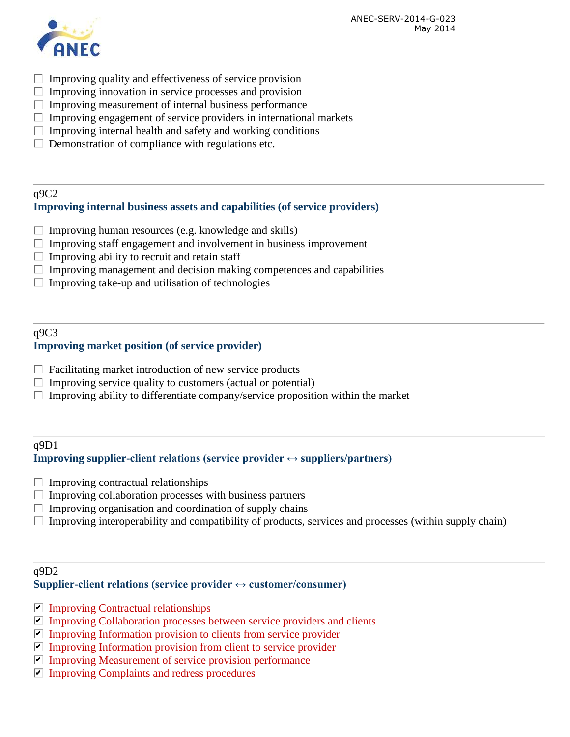ANEC-SERV-2014-G-023 May 2014



- $\Box$  Improving quality and effectiveness of service provision
- $\Box$  Improving innovation in service processes and provision
- $\Box$  Improving measurement of internal business performance
- $\Box$  Improving engagement of service providers in international markets
- $\Box$  Improving internal health and safety and working conditions
- $\Box$  Demonstration of compliance with regulations etc.

#### q9C2 **Improving internal business assets and capabilities (of service providers)**

- $\Box$  Improving human resources (e.g. knowledge and skills)
- $\Box$  Improving staff engagement and involvement in business improvement
- Improving ability to recruit and retain staff  $\Box$
- $\Box$  Improving management and decision making competences and capabilities
- $\Box$  Improving take-up and utilisation of technologies

#### q9C3 **Improving market position (of service provider)**

- $\Box$  Facilitating market introduction of new service products
- $\Box$  Improving service quality to customers (actual or potential)
- $\Box$  Improving ability to differentiate company/service proposition within the market

#### q9D1

#### **Improving supplier-client relations (service provider ↔ suppliers/partners)**

- П. Improving contractual relationships
- $\Box$  Improving collaboration processes with business partners
- $\Box$  Improving organisation and coordination of supply chains
- $\Box$  Improving interoperability and compatibility of products, services and processes (within supply chain)

#### q9D2

#### **Supplier-client relations (service provider ↔ customer/consumer)**

- $\nabla$  Improving Contractual relationships
- $\triangledown$  Improving Collaboration processes between service providers and clients
- $\nabla$  Improving Information provision to clients from service provider
- $\nabla$  Improving Information provision from client to service provider
- $\nabla$  Improving Measurement of service provision performance
- $\triangledown$  Improving Complaints and redress procedures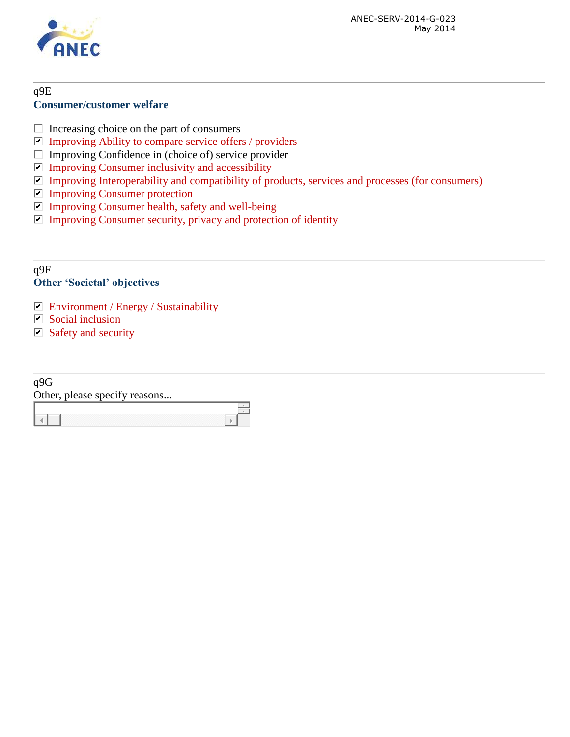

#### q9E **Consumer/customer welfare**

- $\Box$  Increasing choice on the part of consumers
- $\nabla$  Improving Ability to compare service offers / providers
- Improving Confidence in (choice of) service provider  $\Box$
- $\Box$  Improving Consumer inclusivity and accessibility
- $\Box$  Improving Interoperability and compatibility of products, services and processes (for consumers)
- **Improving Consumer protection**
- $\Box$  Improving Consumer health, safety and well-being
- $\nabla$  Improving Consumer security, privacy and protection of identity

#### q9F **Other 'Societal' objectives**

- Environment / Energy / Sustainability
- $\Box$  Social inclusion
- $\Box$  Safety and security

| q9G                           |  |
|-------------------------------|--|
| Other, please specify reasons |  |
|                               |  |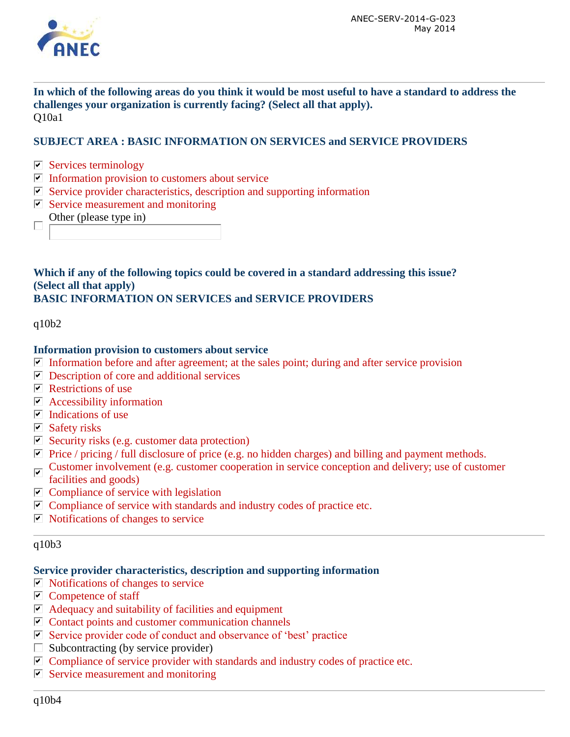

**In which of the following areas do you think it would be most useful to have a standard to address the challenges your organization is currently facing? (Select all that apply).**  Q10a1

#### **SUBJECT AREA : BASIC INFORMATION ON SERVICES and SERVICE PROVIDERS**

- $\triangleright$  Services terminology
- $\triangleright$  Information provision to customers about service
- $\blacksquare$  Service provider characteristics, description and supporting information
- $\triangleright$  Service measurement and monitoring
	- Other (please type in)

#### **Which if any of the following topics could be covered in a standard addressing this issue? (Select all that apply) BASIC INFORMATION ON SERVICES and SERVICE PROVIDERS**

 $q10b2$ 

#### **Information provision to customers about service**

- Information before and after agreement; at the sales point; during and after service provision
- $\nabla$  Description of core and additional services
- $\triangleright$  Restrictions of use
- $\triangleright$  Accessibility information
- $\triangleright$  Indications of use
- $\nabla$  Safety risks
- $\triangleright$  Security risks (e.g. customer data protection)
- **Price** / pricing / full disclosure of price (e.g. no hidden charges) and billing and payment methods.
- Customer involvement (e.g. customer cooperation in service conception and delivery; use of customer
- facilities and goods)
- $\triangleright$  Compliance of service with legislation
- $\triangledown$  Compliance of service with standards and industry codes of practice etc.
- $\triangledown$  Notifications of changes to service

#### q10b3

#### **Service provider characteristics, description and supporting information**

- $\blacksquare$  Notifications of changes to service
- $\triangleright$  Competence of staff
- $\blacksquare$  Adequacy and suitability of facilities and equipment
- $\blacksquare$  Contact points and customer communication channels
- $\triangledown$  Service provider code of conduct and observance of 'best' practice
- $\Box$  Subcontracting (by service provider)
- $\triangledown$  Compliance of service provider with standards and industry codes of practice etc.
- $\triangleright$  Service measurement and monitoring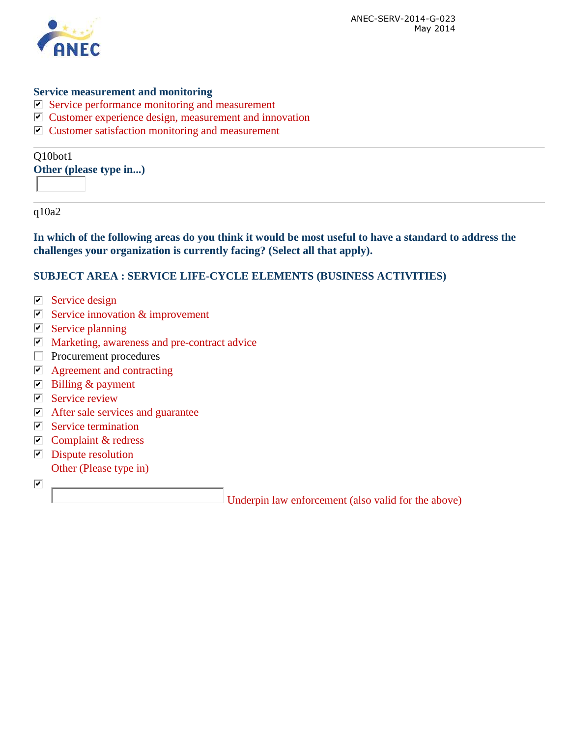

#### **Service measurement and monitoring**

- $\triangleright$  Service performance monitoring and measurement
- $\triangledown$  Customer experience design, measurement and innovation
- $\triangleright$  Customer satisfaction monitoring and measurement

Q10bot1 **Other (please type in...)**

q10a2

**In which of the following areas do you think it would be most useful to have a standard to address the challenges your organization is currently facing? (Select all that apply).** 

#### **SUBJECT AREA : SERVICE LIFE-CYCLE ELEMENTS (BUSINESS ACTIVITIES)**

- $\blacksquare$  Service design
- $\triangleright$  Service innovation & improvement
- $\triangleright$  Service planning
- $\blacksquare$  Marketing, awareness and pre-contract advice
- $\Box$  Procurement procedures
- $\triangleright$  Agreement and contracting
- $\triangleright$  Billing & payment
- $\boxed{\triangleright}$  Service review
- $\triangleright$  After sale services and guarantee
- $\triangledown$  Service termination
- $\triangleright$  Complaint & redress
- $\nabla$  Dispute resolution Other (Please type in)
- $\overline{\blacktriangledown}$

Underpin law enforcement (also valid for the above)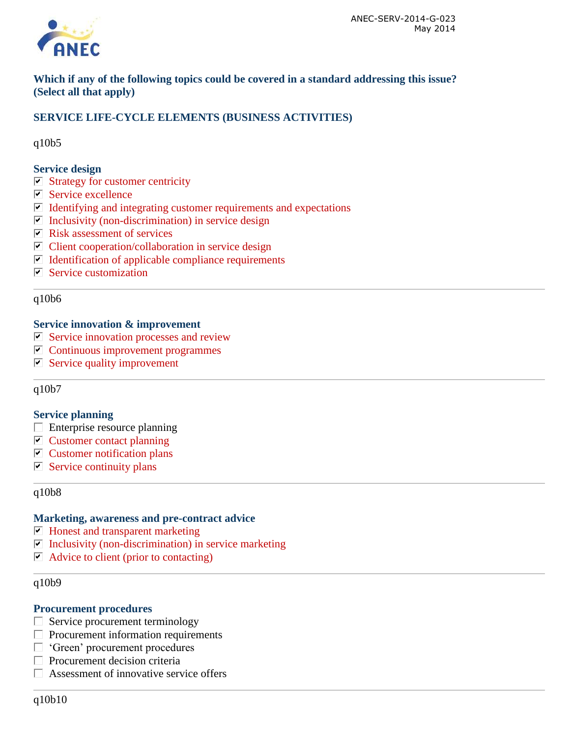

**Which if any of the following topics could be covered in a standard addressing this issue? (Select all that apply)**

## **SERVICE LIFE-CYCLE ELEMENTS (BUSINESS ACTIVITIES)**

q10b5

#### **Service design**

- $\triangleright$  Strategy for customer centricity
- $\blacksquare$  Service excellence
- $\blacksquare$  Identifying and integrating customer requirements and expectations
- $\triangleright$  Inclusivity (non-discrimination) in service design
- $\triangleright$  Risk assessment of services
- $\triangleright$  Client cooperation/collaboration in service design
- $\triangledown$  Identification of applicable compliance requirements
- $\triangleright$  Service customization

q10b6

#### **Service innovation & improvement**

- $\triangleright$  Service innovation processes and review
- $\triangledown$  Continuous improvement programmes
- $\triangleright$  Service quality improvement

q10b7

#### **Service planning**

- $\Box$  Enterprise resource planning
- $\triangleright$  Customer contact planning
- $\triangleright$  Customer notification plans
- $\triangleright$  Service continuity plans

#### q10b8

#### **Marketing, awareness and pre-contract advice**

- $\blacksquare$  Honest and transparent marketing
- $\triangleright$  Inclusivity (non-discrimination) in service marketing
- $\blacksquare$  Advice to client (prior to contacting)

#### q10b9

#### **Procurement procedures**

- $\Box$  Service procurement terminology
- $\Box$  Procurement information requirements
- □ 'Green' procurement procedures
- $\Box$  Procurement decision criteria
- $\Box$  Assessment of innovative service offers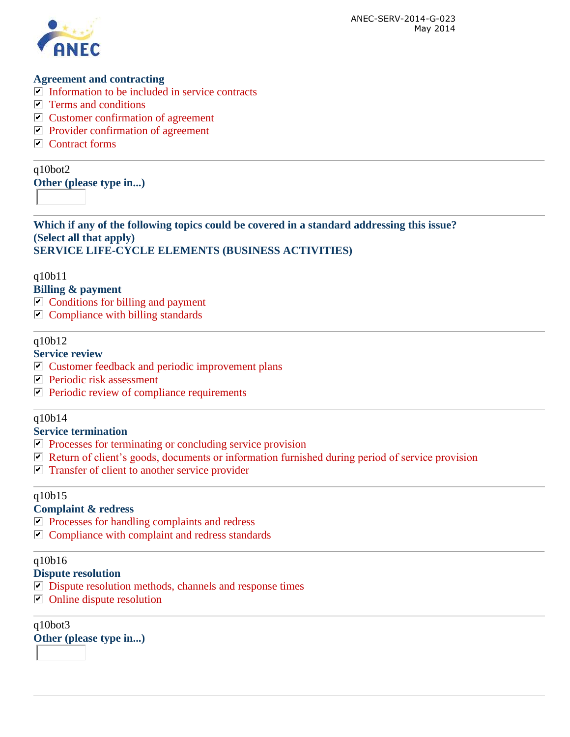

#### **Agreement and contracting**

- $\triangledown$  Information to be included in service contracts
- $\triangledown$  Terms and conditions
- $\triangleright$  Customer confirmation of agreement
- $\nabla$  Provider confirmation of agreement
- $\nabla$  Contract forms

q10bot2

**Other (please type in...)**

**Which if any of the following topics could be covered in a standard addressing this issue? (Select all that apply) SERVICE LIFE-CYCLE ELEMENTS (BUSINESS ACTIVITIES)**

q10b11

**Billing & payment**

- $\triangleright$  Conditions for billing and payment
- $\triangleright$  Compliance with billing standards

#### q10b12

## **Service review**

- $\triangleright$  Customer feedback and periodic improvement plans
- $\triangleright$  Periodic risk assessment
- $\triangleright$  Periodic review of compliance requirements

#### q10b14

#### **Service termination**

- $\nabla$  Processes for terminating or concluding service provision
- $\nabla$  Return of client's goods, documents or information furnished during period of service provision
- $\blacksquare$  Transfer of client to another service provider

#### q10b15

#### **Complaint & redress**

- $\nabla$  Processes for handling complaints and redress
- $\triangleright$  Compliance with complaint and redress standards

#### q10b16

## **Dispute resolution**

- $\nabla$  Dispute resolution methods, channels and response times
- $\Box$  Online dispute resolution

q10bot3 **Other (please type in...)**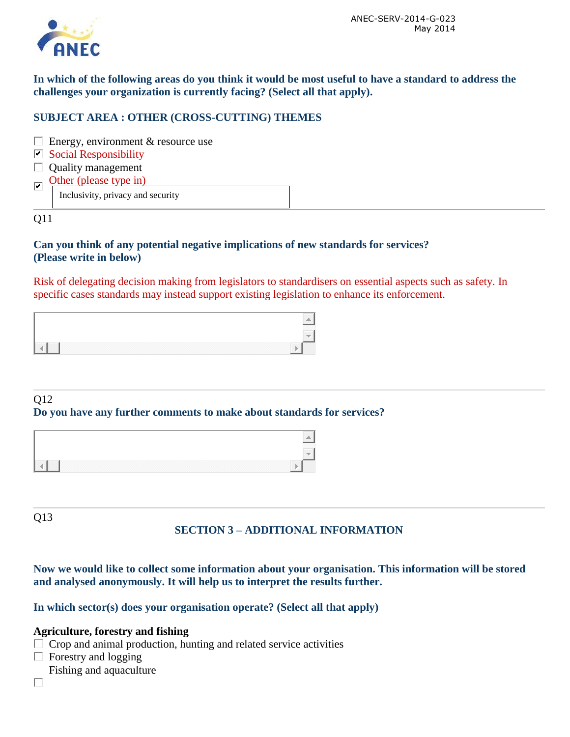

**In which of the following areas do you think it would be most useful to have a standard to address the challenges your organization is currently facing? (Select all that apply).** 

## **SUBJECT AREA : OTHER (CROSS-CUTTING) THEMES**

- $\Box$  Energy, environment & resource use
- $\triangleright$  Social Responsibility
- $\Box$  Quality management
- Other (please type in)  $\overline{\triangledown}$

Inclusivity, privacy and security

Q11

#### **Can you think of any potential negative implications of new standards for services? (Please write in below)**

Risk of delegating decision making from legislators to standardisers on essential aspects such as safety. In specific cases standards may instead support existing legislation to enhance its enforcement.

#### Q12

#### **Do you have any further comments to make about standards for services?**



Q13

## **SECTION 3 – ADDITIONAL INFORMATION**

**Now we would like to collect some information about your organisation. This information will be stored and analysed anonymously. It will help us to interpret the results further.** 

**In which sector(s) does your organisation operate? (Select all that apply)**

#### **Agriculture, forestry and fishing**

- $\Box$  Crop and animal production, hunting and related service activities
- $\Box$  Forestry and logging
- Fishing and aquaculture
- $\Box$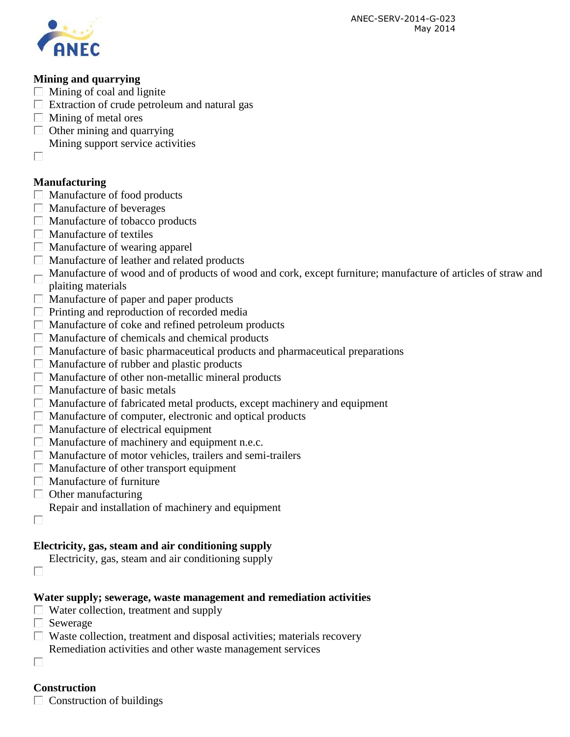

## **Mining and quarrying**

- $\Box$  Mining of coal and lignite
- $\Box$  Extraction of crude petroleum and natural gas
- $\Box$  Mining of metal ores
- $\Box$  Other mining and quarrying
- Mining support service activities
- $\Box$

## **Manufacturing**

- $\Box$  Manufacture of food products
- $\Box$  Manufacture of beverages
- $\Box$  Manufacture of tobacco products
- $\Box$  Manufacture of textiles
- $\Box$  Manufacture of wearing apparel
- Manufacture of leather and related products
- Manufacture of wood and of products of wood and cork, except furniture; manufacture of articles of straw and plaiting materials
- $\Box$  Manufacture of paper and paper products
- $\Box$  Printing and reproduction of recorded media
- $\Box$  Manufacture of coke and refined petroleum products
- $\Box$  Manufacture of chemicals and chemical products
- $\Box$  Manufacture of basic pharmaceutical products and pharmaceutical preparations
- $\Box$  Manufacture of rubber and plastic products
- $\Box$  Manufacture of other non-metallic mineral products
- $\Box$  Manufacture of basic metals
- $\Box$  Manufacture of fabricated metal products, except machinery and equipment
- $\Box$  Manufacture of computer, electronic and optical products
- $\Box$  Manufacture of electrical equipment
- $\Box$  Manufacture of machinery and equipment n.e.c.
- $\Box$  Manufacture of motor vehicles, trailers and semi-trailers
- $\Box$  Manufacture of other transport equipment
- $\Box$  Manufacture of furniture
- $\Box$  Other manufacturing
	- Repair and installation of machinery and equipment
- $\Box$

 $\Box$ 

## **Electricity, gas, steam and air conditioning supply**

- Electricity, gas, steam and air conditioning supply
- **Water supply; sewerage, waste management and remediation activities**
- $\Box$  Water collection, treatment and supply
- $\Box$  Sewerage
- $\Box$  Waste collection, treatment and disposal activities; materials recovery Remediation activities and other waste management services
- 

П

## **Construction**

 $\Box$  Construction of buildings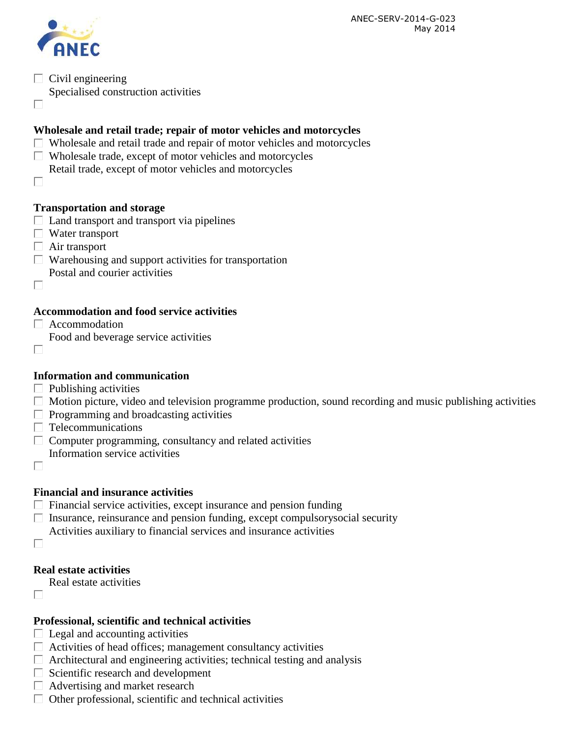

 $\Box$  Civil engineering

Specialised construction activities

П

## **Wholesale and retail trade; repair of motor vehicles and motorcycles**

- $\Box$  Wholesale and retail trade and repair of motor vehicles and motorcycles
- $\Box$  Wholesale trade, except of motor vehicles and motorcycles
- Retail trade, except of motor vehicles and motorcycles
- $\Box$

## **Transportation and storage**

- $\Box$  Land transport and transport via pipelines
- $\Box$  Water transport
- $\Box$  Air transport
- $\Box$  Warehousing and support activities for transportation Postal and courier activities
- □

## **Accommodation and food service activities**

- $\Box$  Accommodation
- Food and beverage service activities
- П

## **Information and communication**

- $\Box$  Publishing activities
- $\Box$  Motion picture, video and television programme production, sound recording and music publishing activities
- $\Box$  Programming and broadcasting activities
- $\Box$  Telecommunications
- $\Box$  Computer programming, consultancy and related activities Information service activities
- $\Box$

## **Financial and insurance activities**

- $\Box$  Financial service activities, except insurance and pension funding
- $\Box$  Insurance, reinsurance and pension funding, except compulsorysocial security
- Activities auxiliary to financial services and insurance activities
- $\Box$

## **Real estate activities**

- Real estate activities
- $\Box$

#### **Professional, scientific and technical activities**

- $\Box$  Legal and accounting activities
- $\Box$  Activities of head offices; management consultancy activities
- $\Box$  Architectural and engineering activities; technical testing and analysis
- $\Box$  Scientific research and development
- $\Box$  Advertising and market research
- $\Box$  Other professional, scientific and technical activities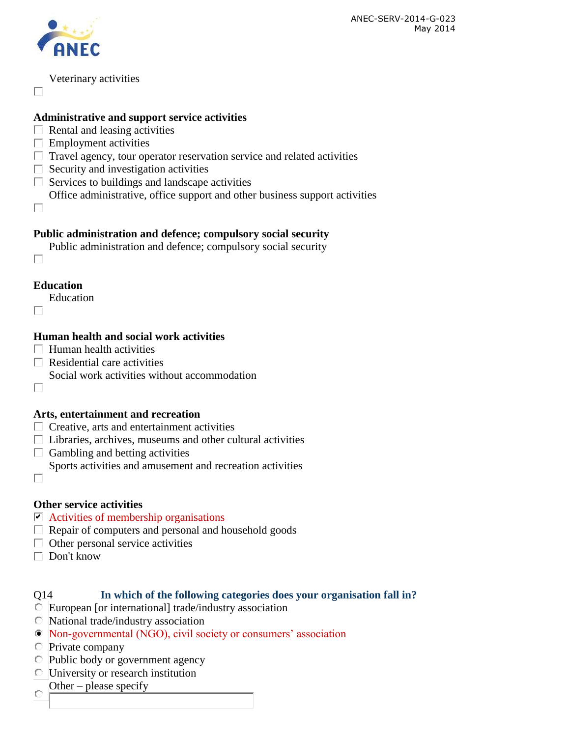

Veterinary activities

#### **Administrative and support service activities**

- $\Box$  Rental and leasing activities
- $\Box$  Employment activities
- $\Box$  Travel agency, tour operator reservation service and related activities
- $\Box$  Security and investigation activities
- $\Box$  Services to buildings and landscape activities
- Office administrative, office support and other business support activities
- $\Box$

 $\Box$ 

#### **Public administration and defence; compulsory social security**

- Public administration and defence; compulsory social security
- $\Box$

#### **Education**

Education

П

 $\Box$ 

## **Human health and social work activities**

- $\Box$  Human health activities
- $\Box$  Residential care activities
- Social work activities without accommodation

## **Arts, entertainment and recreation**

- $\Box$  Creative, arts and entertainment activities
- $\Box$  Libraries, archives, museums and other cultural activities
- $\Box$  Gambling and betting activities
	- Sports activities and amusement and recreation activities
- Е

## **Other service activities**

- $\triangleright$  Activities of membership organisations
- $\Box$  Repair of computers and personal and household goods
- $\Box$  Other personal service activities
- $\Box$  Don't know

## Q14 **In which of the following categories does your organisation fall in?**

- European [or international] trade/industry association
- $\overline{\circ}$  National trade/industry association
- Non-governmental (NGO), civil society or consumers' association
- Private company
- Public body or government agency
- University or research institution
- Other please specify
- C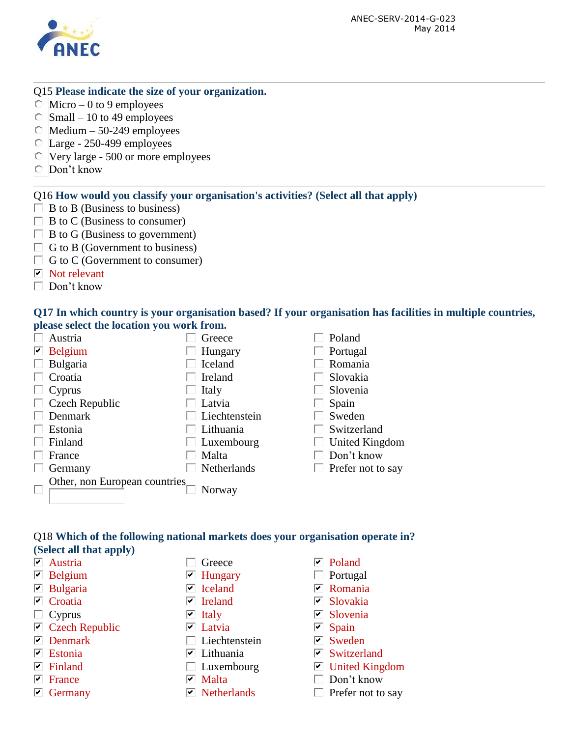

#### Q15 **Please indicate the size of your organization.**

- $\circ$  Micro 0 to 9 employees
- $\circ$  Small 10 to 49 employees
- $\degree$  Medium 50-249 employees
- Large 250-499 employees
- Very large 500 or more employees
- Don't know

#### Q16 **How would you classify your organisation's activities? (Select all that apply)**

- $\Box$  B to B (Business to business)
- $\Box$  B to C (Business to consumer)
- $\Box$  B to G (Business to government)
- $\Box$  G to B (Government to business)
- $\Box$  G to C (Government to consumer)
- $\nabla$  Not relevant
- $\Box$  Don't know

#### **Q17 In which country is your organisation based? If your organisation has facilities in multiple countries, please select the location you work from.**

|   | Austria                        | Greece            |   | Poland            |
|---|--------------------------------|-------------------|---|-------------------|
|   | $\triangleright$ Belgium       | Hungary           |   | Portugal          |
| L | Bulgaria                       | Iceland           |   | Romania           |
|   | Croatia                        | Ireland           |   | Slovakia          |
|   | Cyprus                         | Italy             |   | Slovenia          |
|   | $\Box$ Czech Republic          | Latvia            |   | Spain             |
|   | Denmark                        | Liechtenstein     |   | Sweden            |
|   | Estonia                        | Lithuania         |   | Switzerland       |
|   | Finland                        | $\Box$ Luxembourg | L | United Kingdom    |
|   | France                         | Malta             |   | Don't know        |
|   | Germany                        | Netherlands       |   | Prefer not to say |
|   | Other, non European countries. | Norway            |   |                   |

#### Q18 **Which of the following national markets does your organisation operate in? (Select all that apply)**

- 
- 
- 
- 
- $\Box$  Cyprus  $\Box$  Italy  $\Box$  Slovenia
- $\triangledown$  Czech Republic  $\triangledown$  Latvia  $\triangledown$  Spain
- 
- 
- 
- 
- 
- $\nabla$  Austria  $\Box$  Greece  $\nabla$  Poland
	-
	-
	-
	-
	-
- $\nabla$  Denmark  $\Box$  Liechtenstein  $\nabla$  Sweden
	-
	-
	-
	-
- 
- $\triangledown$  Belgium  $\triangledown$  Hungary  $\square$  Portugal
- $\nabla$  Bulgaria  $\nabla$  Iceland  $\nabla$  Romania
- $\nabla$  Croatia  $\nabla$  Ireland  $\nabla$  Slovakia
	-
	-
	-
- $\triangledown$  Estonia  $\triangledown$  Lithuania  $\triangledown$  Switzerland
- $\nabla$  Finland  $\nabla$  Luxembourg  $\nabla$  United Kingdom
- $\nabla$  France  $\nabla$  Malta  $\nabla$  Don't know
- $\triangledown$  Germany  $\triangledown$  Netherlands  $\triangledown$  Prefer not to say
- 
-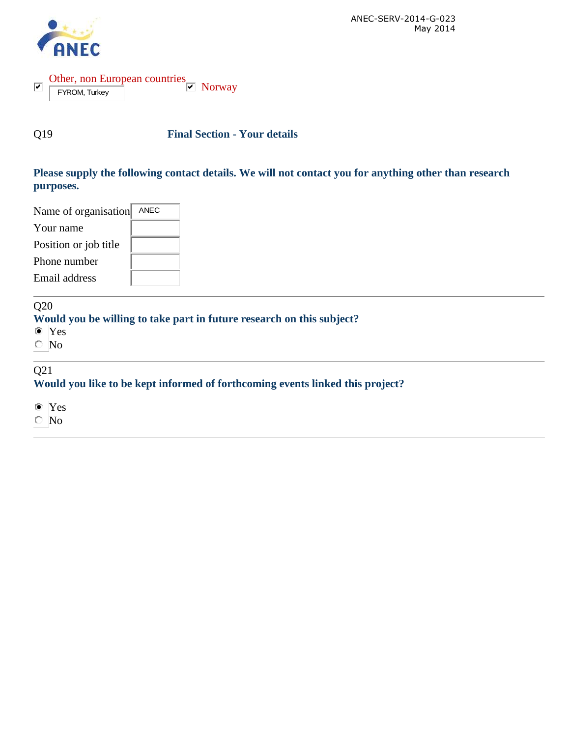

Other, non European countries  $\overline{\mathbf{v}}$ Norway FYROM, Turkey

Q19 **Final Section - Your details**

## **Please supply the following contact details. We will not contact you for anything other than research purposes.**

| Name of organisation<br>ANEC |  |
|------------------------------|--|
| Your name                    |  |
| Position or job title        |  |
| Phone number                 |  |
| Email address                |  |

#### Q20

## **Would you be willing to take part in future research on this subject?**

- Yes
- $\circ$  No

## Q21

## **Would you like to be kept informed of forthcoming events linked this project?**

Yes

No